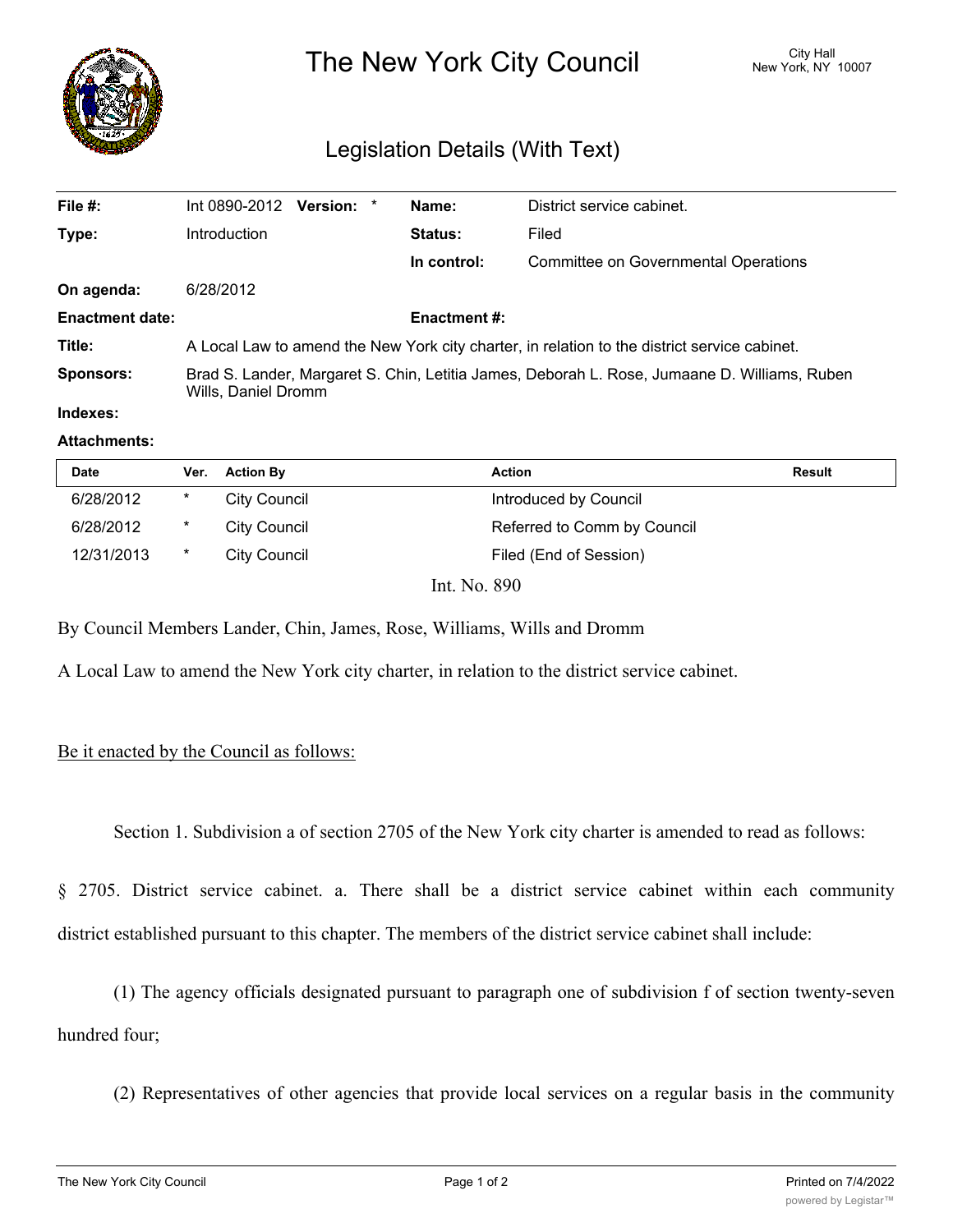

The New York City Council New York, NY 10007

# Legislation Details (With Text)

| File #:                | Int 0890-2012 Version: *                                                                                            |  |  | Name:          | District service cabinet.            |  |
|------------------------|---------------------------------------------------------------------------------------------------------------------|--|--|----------------|--------------------------------------|--|
| Type:                  | Introduction                                                                                                        |  |  | <b>Status:</b> | Filed                                |  |
|                        |                                                                                                                     |  |  | In control:    | Committee on Governmental Operations |  |
| On agenda:             | 6/28/2012                                                                                                           |  |  |                |                                      |  |
| <b>Enactment date:</b> | <b>Enactment #:</b>                                                                                                 |  |  |                |                                      |  |
| Title:                 | A Local Law to amend the New York city charter, in relation to the district service cabinet.                        |  |  |                |                                      |  |
| <b>Sponsors:</b>       | Brad S. Lander, Margaret S. Chin, Letitia James, Deborah L. Rose, Jumaane D. Williams, Ruben<br>Wills, Daniel Dromm |  |  |                |                                      |  |
| Indexes:               |                                                                                                                     |  |  |                |                                      |  |

### **Attachments:**

| <b>Date</b> | Ver.   | <b>Action By</b>    | <b>Action</b>               | Result |
|-------------|--------|---------------------|-----------------------------|--------|
| 6/28/2012   | $\ast$ | City Council        | Introduced by Council       |        |
| 6/28/2012   | $\ast$ | <b>City Council</b> | Referred to Comm by Council |        |
| 12/31/2013  | $\ast$ | City Council        | Filed (End of Session)      |        |
|             |        | Int. No. 890        |                             |        |

By Council Members Lander, Chin, James, Rose, Williams, Wills and Dromm

A Local Law to amend the New York city charter, in relation to the district service cabinet.

## Be it enacted by the Council as follows:

Section 1. Subdivision a of section 2705 of the New York city charter is amended to read as follows:

§ 2705. District service cabinet. a. There shall be a district service cabinet within each community district established pursuant to this chapter. The members of the district service cabinet shall include:

(1) The agency officials designated pursuant to paragraph one of subdivision f of section twenty-seven hundred four;

(2) Representatives of other agencies that provide local services on a regular basis in the community